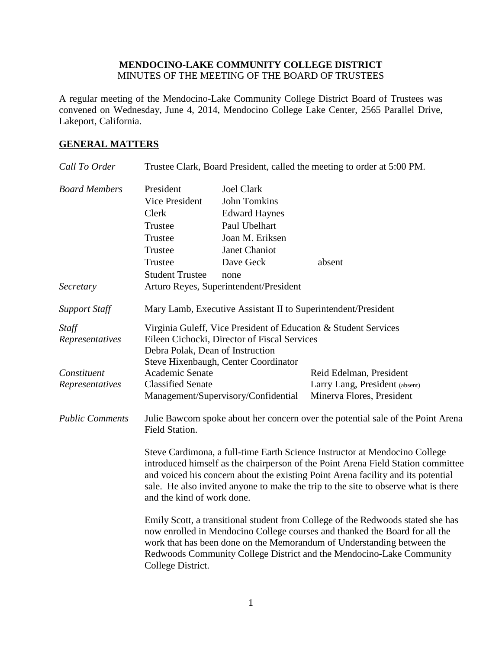## **MENDOCINO-LAKE COMMUNITY COLLEGE DISTRICT** MINUTES OF THE MEETING OF THE BOARD OF TRUSTEES

A regular meeting of the Mendocino-Lake Community College District Board of Trustees was convened on Wednesday, June 4, 2014, Mendocino College Lake Center, 2565 Parallel Drive, Lakeport, California.

# **GENERAL MATTERS**

| Call To Order                  | Trustee Clark, Board President, called the meeting to order at 5:00 PM.                                                                                                                                                                                                                                                                                                |                                        |                                                               |
|--------------------------------|------------------------------------------------------------------------------------------------------------------------------------------------------------------------------------------------------------------------------------------------------------------------------------------------------------------------------------------------------------------------|----------------------------------------|---------------------------------------------------------------|
| <b>Board Members</b>           | President                                                                                                                                                                                                                                                                                                                                                              | <b>Joel Clark</b>                      |                                                               |
|                                | <b>Vice President</b>                                                                                                                                                                                                                                                                                                                                                  | <b>John Tomkins</b>                    |                                                               |
|                                | Clerk                                                                                                                                                                                                                                                                                                                                                                  | <b>Edward Haynes</b>                   |                                                               |
|                                | Trustee                                                                                                                                                                                                                                                                                                                                                                | Paul Ubelhart                          |                                                               |
|                                | Trustee                                                                                                                                                                                                                                                                                                                                                                | Joan M. Eriksen                        |                                                               |
|                                | Trustee                                                                                                                                                                                                                                                                                                                                                                | Janet Chaniot                          |                                                               |
|                                | Trustee                                                                                                                                                                                                                                                                                                                                                                | Dave Geck                              | absent                                                        |
|                                | <b>Student Trustee</b>                                                                                                                                                                                                                                                                                                                                                 | none                                   |                                                               |
| Secretary                      |                                                                                                                                                                                                                                                                                                                                                                        | Arturo Reyes, Superintendent/President |                                                               |
| <b>Support Staff</b>           |                                                                                                                                                                                                                                                                                                                                                                        |                                        | Mary Lamb, Executive Assistant II to Superintendent/President |
| Staff<br>Representatives       | Virginia Guleff, Vice President of Education & Student Services<br>Eileen Cichocki, Director of Fiscal Services                                                                                                                                                                                                                                                        |                                        |                                                               |
|                                | Debra Polak, Dean of Instruction                                                                                                                                                                                                                                                                                                                                       |                                        |                                                               |
|                                |                                                                                                                                                                                                                                                                                                                                                                        | Steve Hixenbaugh, Center Coordinator   |                                                               |
| Constituent<br>Representatives | Academic Senate<br><b>Classified Senate</b>                                                                                                                                                                                                                                                                                                                            |                                        | Reid Edelman, President<br>Larry Lang, President (absent)     |
|                                |                                                                                                                                                                                                                                                                                                                                                                        | Management/Supervisory/Confidential    | Minerva Flores, President                                     |
| <b>Public Comments</b>         | Julie Bawcom spoke about her concern over the potential sale of the Point Arena<br>Field Station.                                                                                                                                                                                                                                                                      |                                        |                                                               |
|                                | Steve Cardimona, a full-time Earth Science Instructor at Mendocino College<br>introduced himself as the chairperson of the Point Arena Field Station committee<br>and voiced his concern about the existing Point Arena facility and its potential<br>sale. He also invited anyone to make the trip to the site to observe what is there<br>and the kind of work done. |                                        |                                                               |
|                                | Emily Scott, a transitional student from College of the Redwoods stated she has<br>now enrolled in Mendocino College courses and thanked the Board for all the<br>work that has been done on the Memorandum of Understanding between the<br>Redwoods Community College District and the Mendocino-Lake Community<br>College District.                                  |                                        |                                                               |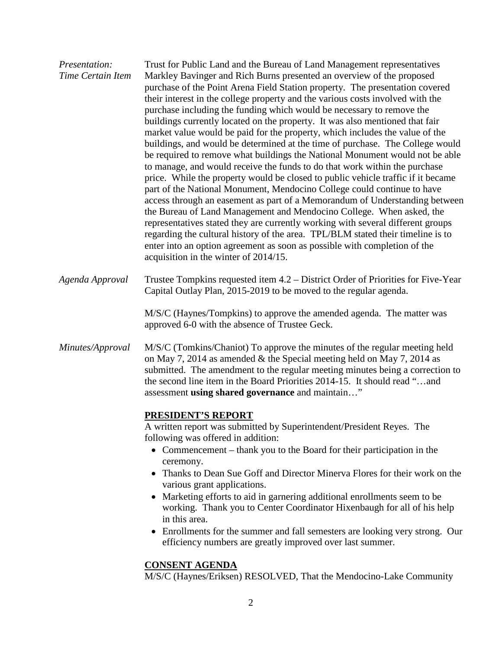| Presentation:<br>Time Certain Item | Trust for Public Land and the Bureau of Land Management representatives<br>Markley Bavinger and Rich Burns presented an overview of the proposed<br>purchase of the Point Arena Field Station property. The presentation covered<br>their interest in the college property and the various costs involved with the<br>purchase including the funding which would be necessary to remove the<br>buildings currently located on the property. It was also mentioned that fair<br>market value would be paid for the property, which includes the value of the<br>buildings, and would be determined at the time of purchase. The College would<br>be required to remove what buildings the National Monument would not be able<br>to manage, and would receive the funds to do that work within the purchase<br>price. While the property would be closed to public vehicle traffic if it became<br>part of the National Monument, Mendocino College could continue to have<br>access through an easement as part of a Memorandum of Understanding between<br>the Bureau of Land Management and Mendocino College. When asked, the<br>representatives stated they are currently working with several different groups<br>regarding the cultural history of the area. TPL/BLM stated their timeline is to<br>enter into an option agreement as soon as possible with completion of the<br>acquisition in the winter of 2014/15. |
|------------------------------------|------------------------------------------------------------------------------------------------------------------------------------------------------------------------------------------------------------------------------------------------------------------------------------------------------------------------------------------------------------------------------------------------------------------------------------------------------------------------------------------------------------------------------------------------------------------------------------------------------------------------------------------------------------------------------------------------------------------------------------------------------------------------------------------------------------------------------------------------------------------------------------------------------------------------------------------------------------------------------------------------------------------------------------------------------------------------------------------------------------------------------------------------------------------------------------------------------------------------------------------------------------------------------------------------------------------------------------------------------------------------------------------------------------------------------|
| Agenda Approval                    | Trustee Tompkins requested item 4.2 – District Order of Priorities for Five-Year<br>Capital Outlay Plan, 2015-2019 to be moved to the regular agenda.                                                                                                                                                                                                                                                                                                                                                                                                                                                                                                                                                                                                                                                                                                                                                                                                                                                                                                                                                                                                                                                                                                                                                                                                                                                                        |
|                                    | M/S/C (Haynes/Tompkins) to approve the amended agenda. The matter was<br>approved 6-0 with the absence of Trustee Geck.                                                                                                                                                                                                                                                                                                                                                                                                                                                                                                                                                                                                                                                                                                                                                                                                                                                                                                                                                                                                                                                                                                                                                                                                                                                                                                      |
| Minutes/Approval                   | M/S/C (Tomkins/Chaniot) To approve the minutes of the regular meeting held<br>on May 7, 2014 as amended $\&$ the Special meeting held on May 7, 2014 as<br>submitted. The amendment to the regular meeting minutes being a correction to<br>the second line item in the Board Priorities 2014-15. It should read "and<br>assessment using shared governance and maintain"                                                                                                                                                                                                                                                                                                                                                                                                                                                                                                                                                                                                                                                                                                                                                                                                                                                                                                                                                                                                                                                    |
|                                    | <b>PRESIDENT'S REPORT</b>                                                                                                                                                                                                                                                                                                                                                                                                                                                                                                                                                                                                                                                                                                                                                                                                                                                                                                                                                                                                                                                                                                                                                                                                                                                                                                                                                                                                    |
|                                    | A written report was submitted by Superintendent/President Reyes. The<br>following was offered in addition:                                                                                                                                                                                                                                                                                                                                                                                                                                                                                                                                                                                                                                                                                                                                                                                                                                                                                                                                                                                                                                                                                                                                                                                                                                                                                                                  |
|                                    | • Commencement – thank you to the Board for their participation in the<br>ceremony.                                                                                                                                                                                                                                                                                                                                                                                                                                                                                                                                                                                                                                                                                                                                                                                                                                                                                                                                                                                                                                                                                                                                                                                                                                                                                                                                          |
|                                    | Thanks to Dean Sue Goff and Director Minerva Flores for their work on the                                                                                                                                                                                                                                                                                                                                                                                                                                                                                                                                                                                                                                                                                                                                                                                                                                                                                                                                                                                                                                                                                                                                                                                                                                                                                                                                                    |
|                                    | various grant applications.<br>Marketing efforts to aid in garnering additional enrollments seem to be<br>$\bullet$<br>working. Thank you to Center Coordinator Hixenbaugh for all of his help<br>in this area.                                                                                                                                                                                                                                                                                                                                                                                                                                                                                                                                                                                                                                                                                                                                                                                                                                                                                                                                                                                                                                                                                                                                                                                                              |
|                                    | Enrollments for the summer and fall semesters are looking very strong. Our<br>efficiency numbers are greatly improved over last summer.                                                                                                                                                                                                                                                                                                                                                                                                                                                                                                                                                                                                                                                                                                                                                                                                                                                                                                                                                                                                                                                                                                                                                                                                                                                                                      |
|                                    | <b>CONSENT AGENDA</b><br>M/S/C (Haynes/Eriksen) RESOLVED, That the Mendocino-Lake Community                                                                                                                                                                                                                                                                                                                                                                                                                                                                                                                                                                                                                                                                                                                                                                                                                                                                                                                                                                                                                                                                                                                                                                                                                                                                                                                                  |
|                                    |                                                                                                                                                                                                                                                                                                                                                                                                                                                                                                                                                                                                                                                                                                                                                                                                                                                                                                                                                                                                                                                                                                                                                                                                                                                                                                                                                                                                                              |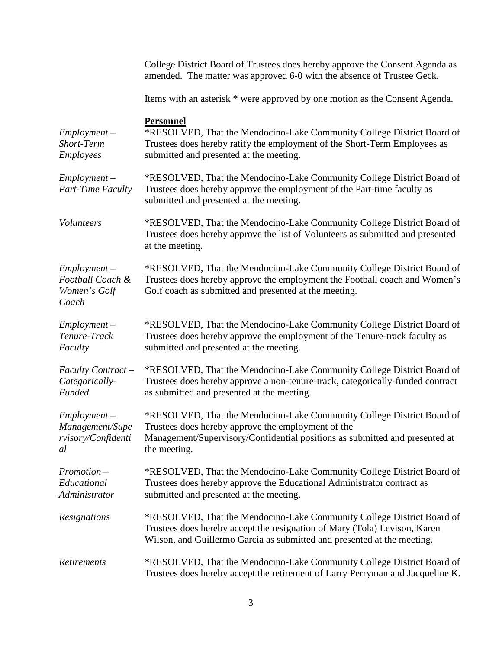|                                                               | College District Board of Trustees does hereby approve the Consent Agenda as<br>amended. The matter was approved 6-0 with the absence of Trustee Geck.                                                                         |
|---------------------------------------------------------------|--------------------------------------------------------------------------------------------------------------------------------------------------------------------------------------------------------------------------------|
|                                                               | Items with an asterisk * were approved by one motion as the Consent Agenda.                                                                                                                                                    |
| $Employment -$<br>Short-Term<br><b>Employees</b>              | <b>Personnel</b><br>*RESOLVED, That the Mendocino-Lake Community College District Board of<br>Trustees does hereby ratify the employment of the Short-Term Employees as<br>submitted and presented at the meeting.             |
| $Employment -$<br>Part-Time Faculty                           | *RESOLVED, That the Mendocino-Lake Community College District Board of<br>Trustees does hereby approve the employment of the Part-time faculty as<br>submitted and presented at the meeting.                                   |
| Volunteers                                                    | *RESOLVED, That the Mendocino-Lake Community College District Board of<br>Trustees does hereby approve the list of Volunteers as submitted and presented<br>at the meeting.                                                    |
| $Employment -$<br>Football Coach &<br>Women's Golf<br>Coach   | *RESOLVED, That the Mendocino-Lake Community College District Board of<br>Trustees does hereby approve the employment the Football coach and Women's<br>Golf coach as submitted and presented at the meeting.                  |
| $Employment -$<br>Tenure-Track<br>Faculty                     | *RESOLVED, That the Mendocino-Lake Community College District Board of<br>Trustees does hereby approve the employment of the Tenure-track faculty as<br>submitted and presented at the meeting.                                |
| Faculty Contract -<br>Categorically-<br>Funded                | *RESOLVED, That the Mendocino-Lake Community College District Board of<br>Trustees does hereby approve a non-tenure-track, categorically-funded contract<br>as submitted and presented at the meeting.                         |
| $Employment -$<br>Management/Supe<br>rvisory/Confidenti<br>al | *RESOLVED, That the Mendocino-Lake Community College District Board of<br>Trustees does hereby approve the employment of the<br>Management/Supervisory/Confidential positions as submitted and presented at<br>the meeting.    |
| $Promotion -$<br>Educational<br>Administrator                 | *RESOLVED, That the Mendocino-Lake Community College District Board of<br>Trustees does hereby approve the Educational Administrator contract as<br>submitted and presented at the meeting.                                    |
| Resignations                                                  | *RESOLVED, That the Mendocino-Lake Community College District Board of<br>Trustees does hereby accept the resignation of Mary (Tola) Levison, Karen<br>Wilson, and Guillermo Garcia as submitted and presented at the meeting. |
| Retirements                                                   | *RESOLVED, That the Mendocino-Lake Community College District Board of<br>Trustees does hereby accept the retirement of Larry Perryman and Jacqueline K.                                                                       |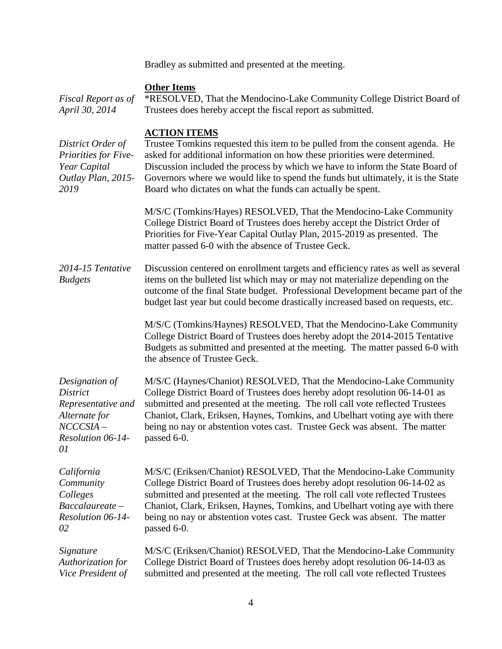Bradley as submitted and presented at the meeting.

# **Other Items**

| Fiscal Report as of<br>April 30, 2014                                                                      | *RESOLVED, That the Mendocino-Lake Community College District Board of<br>Trustees does hereby accept the fiscal report as submitted.                                                                                                                                                                                                                                                                                |
|------------------------------------------------------------------------------------------------------------|----------------------------------------------------------------------------------------------------------------------------------------------------------------------------------------------------------------------------------------------------------------------------------------------------------------------------------------------------------------------------------------------------------------------|
| District Order of<br>Priorities for Five-<br>Year Capital<br>Outlay Plan, 2015-<br>2019                    | <b>ACTION ITEMS</b><br>Trustee Tomkins requested this item to be pulled from the consent agenda. He<br>asked for additional information on how these priorities were determined.<br>Discussion included the process by which we have to inform the State Board of<br>Governors where we would like to spend the funds but ultimately, it is the State<br>Board who dictates on what the funds can actually be spent. |
|                                                                                                            | M/S/C (Tomkins/Hayes) RESOLVED, That the Mendocino-Lake Community<br>College District Board of Trustees does hereby accept the District Order of<br>Priorities for Five-Year Capital Outlay Plan, 2015-2019 as presented. The<br>matter passed 6-0 with the absence of Trustee Geck.                                                                                                                                 |
| 2014-15 Tentative<br><b>Budgets</b>                                                                        | Discussion centered on enrollment targets and efficiency rates as well as several<br>items on the bulleted list which may or may not materialize depending on the<br>outcome of the final State budget. Professional Development became part of the<br>budget last year but could become drastically increased based on requests, etc.                                                                               |
|                                                                                                            | M/S/C (Tomkins/Haynes) RESOLVED, That the Mendocino-Lake Community<br>College District Board of Trustees does hereby adopt the 2014-2015 Tentative<br>Budgets as submitted and presented at the meeting. The matter passed 6-0 with<br>the absence of Trustee Geck.                                                                                                                                                  |
| Designation of<br>District<br>Representative and<br>Alternate for<br>$NCCCSIA-$<br>Resolution 06-14-<br>01 | M/S/C (Haynes/Chaniot) RESOLVED, That the Mendocino-Lake Community<br>College District Board of Trustees does hereby adopt resolution 06-14-01 as<br>submitted and presented at the meeting. The roll call vote reflected Trustees<br>Chaniot, Clark, Eriksen, Haynes, Tomkins, and Ubelhart voting aye with there<br>being no nay or abstention votes cast. Trustee Geck was absent. The matter<br>passed 6-0.      |
| California<br>Community<br>Colleges<br>Baccalaureate-<br>Resolution 06-14-<br>02                           | M/S/C (Eriksen/Chaniot) RESOLVED, That the Mendocino-Lake Community<br>College District Board of Trustees does hereby adopt resolution 06-14-02 as<br>submitted and presented at the meeting. The roll call vote reflected Trustees<br>Chaniot, Clark, Eriksen, Haynes, Tomkins, and Ubelhart voting aye with there<br>being no nay or abstention votes cast. Trustee Geck was absent. The matter<br>passed 6-0.     |
| Signature<br>Authorization for<br>Vice President of                                                        | M/S/C (Eriksen/Chaniot) RESOLVED, That the Mendocino-Lake Community<br>College District Board of Trustees does hereby adopt resolution 06-14-03 as<br>submitted and presented at the meeting. The roll call vote reflected Trustees                                                                                                                                                                                  |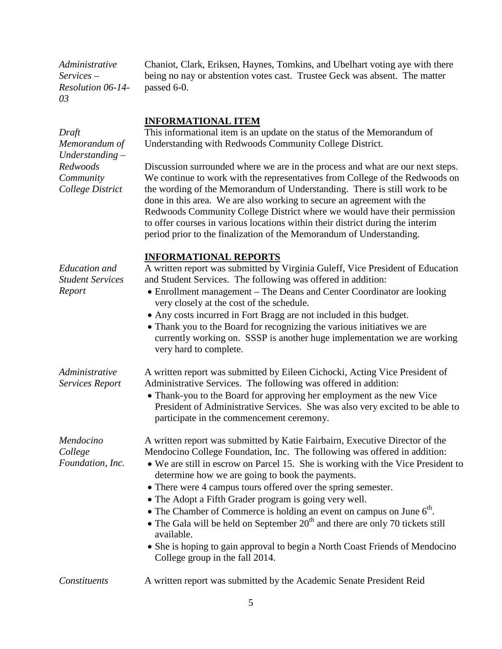*Administrative Services – Resolution 06-14- 03*

Chaniot, Clark, Eriksen, Haynes, Tomkins, and Ubelhart voting aye with there being no nay or abstention votes cast. Trustee Geck was absent. The matter passed 6-0.

#### **INFORMATIONAL ITEM**

This informational item is an update on the status of the Memorandum of Understanding with Redwoods Community College District.

Discussion surrounded where we are in the process and what are our next steps. We continue to work with the representatives from College of the Redwoods on the wording of the Memorandum of Understanding. There is still work to be done in this area. We are also working to secure an agreement with the Redwoods Community College District where we would have their permission to offer courses in various locations within their district during the interim period prior to the finalization of the Memorandum of Understanding.

#### **INFORMATIONAL REPORTS**

A written report was submitted by Virginia Guleff, Vice President of Education and Student Services. The following was offered in addition:

- Enrollment management The Deans and Center Coordinator are looking very closely at the cost of the schedule.
- Any costs incurred in Fort Bragg are not included in this budget.
- Thank you to the Board for recognizing the various initiatives we are currently working on. SSSP is another huge implementation we are working very hard to complete.

| Administrative  | A written report was submitted by Eileen Cichocki, Acting Vice President of                                                       |
|-----------------|-----------------------------------------------------------------------------------------------------------------------------------|
| Services Report | Administrative Services. The following was offered in addition:                                                                   |
|                 | $\blacksquare$<br>the contract of the contract of the contract of the contract of the contract of the contract of the contract of |

• Thank-you to the Board for approving her employment as the new Vice President of Administrative Services. She was also very excited to be able to participate in the commencement ceremony.

A written report was submitted by Katie Fairbairn, Executive Director of the Mendocino College Foundation, Inc. The following was offered in addition:

- We are still in escrow on Parcel 15. She is working with the Vice President to determine how we are going to book the payments.
- There were 4 campus tours offered over the spring semester.
- The Adopt a Fifth Grader program is going very well.
- The Chamber of Commerce is holding an event on campus on June  $6<sup>th</sup>$ .
- The Gala will be held on September  $20<sup>th</sup>$  and there are only 70 tickets still available.
- She is hoping to gain approval to begin a North Coast Friends of Mendocino College group in the fall 2014.

#### *Constituents* A written report was submitted by the Academic Senate President Reid

5

*Draft Memorandum of Understanding – Redwoods Community College District*

*Education and Student Services Report*

**Services Repor** 

*Mendocino College Foundation, Inc.*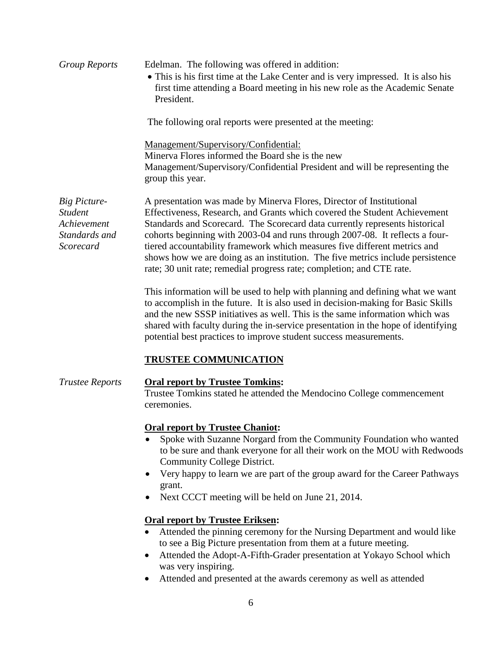| <b>Group Reports</b>                                                               | Edelman. The following was offered in addition:<br>• This is his first time at the Lake Center and is very impressed. It is also his<br>first time attending a Board meeting in his new role as the Academic Senate<br>President.                                                                                                                                                                                                                                                                                                                        |  |  |
|------------------------------------------------------------------------------------|----------------------------------------------------------------------------------------------------------------------------------------------------------------------------------------------------------------------------------------------------------------------------------------------------------------------------------------------------------------------------------------------------------------------------------------------------------------------------------------------------------------------------------------------------------|--|--|
|                                                                                    | The following oral reports were presented at the meeting:                                                                                                                                                                                                                                                                                                                                                                                                                                                                                                |  |  |
|                                                                                    | <u>Management/Supervisory/Confidential:</u><br>Minerva Flores informed the Board she is the new<br>Management/Supervisory/Confidential President and will be representing the<br>group this year.                                                                                                                                                                                                                                                                                                                                                        |  |  |
| <b>Big Picture-</b><br><i>Student</i><br>Achievement<br>Standards and<br>Scorecard | A presentation was made by Minerva Flores, Director of Institutional<br>Effectiveness, Research, and Grants which covered the Student Achievement<br>Standards and Scorecard. The Scorecard data currently represents historical<br>cohorts beginning with 2003-04 and runs through 2007-08. It reflects a four-<br>tiered accountability framework which measures five different metrics and<br>shows how we are doing as an institution. The five metrics include persistence<br>rate; 30 unit rate; remedial progress rate; completion; and CTE rate. |  |  |
|                                                                                    | This information will be used to help with planning and defining what we want<br>to accomplish in the future. It is also used in decision-making for Basic Skills<br>and the new SSSP initiatives as well. This is the same information which was<br>shared with faculty during the in-service presentation in the hope of identifying                                                                                                                                                                                                                   |  |  |

## **TRUSTEE COMMUNICATION**

*Trustee Reports* **Oral report by Trustee Tomkins:** Trustee Tomkins stated he attended the Mendocino College commencement ceremonies.

potential best practices to improve student success measurements.

#### **Oral report by Trustee Chaniot:**

- Spoke with Suzanne Norgard from the Community Foundation who wanted to be sure and thank everyone for all their work on the MOU with Redwoods Community College District.
- Very happy to learn we are part of the group award for the Career Pathways grant.
- Next CCCT meeting will be held on June 21, 2014.

## **Oral report by Trustee Eriksen:**

- Attended the pinning ceremony for the Nursing Department and would like to see a Big Picture presentation from them at a future meeting.
- Attended the Adopt-A-Fifth-Grader presentation at Yokayo School which was very inspiring.
- Attended and presented at the awards ceremony as well as attended